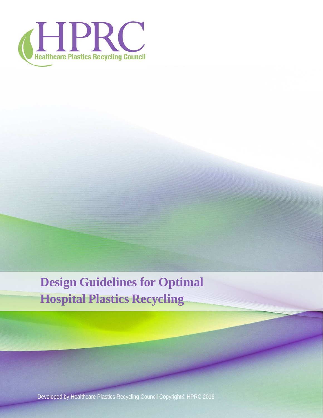

# **Design Guidelines for Optimal Hospital Plastics Recycling**

Developed by Healthcare Plastics Recycling Council Copyright© HPRC 2016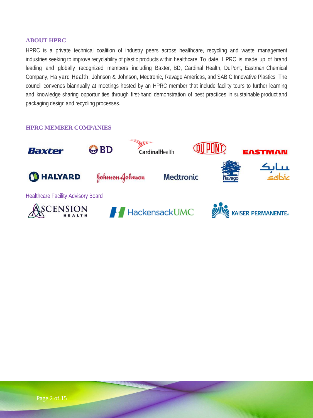#### <span id="page-1-0"></span>**ABOUT HPRC**

HPRC is a private technical coalition of industry peers across healthcare, recycling and waste management industries seeking to improve recyclability of plastic products within healthcare. To date, HPRC is made up of brand leading and globally recognized members including Baxter, BD, Cardinal Health, DuPont, Eastman Chemical Company, Halyard Health, Johnson & Johnson, Medtronic, Ravago Americas, and SABIC Innovative Plastics. The council convenes biannually at meetings hosted by an HPRC member that include facility tours to further learning and knowledge sharing opportunities through first-hand demonstration of best practices in sustainable product and packaging design and recycling processes.

#### <span id="page-1-1"></span>**HPRC MEMBER COMPANIES**

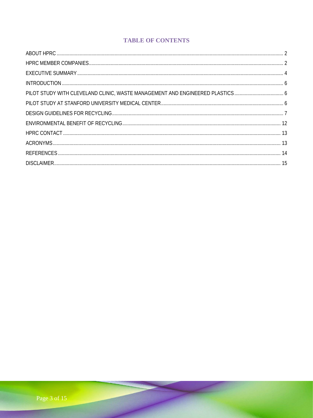# **TABLE OF CONTENTS**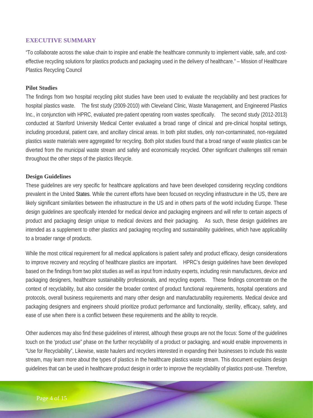# <span id="page-3-0"></span>**EXECUTIVE SUMMARY**

"To collaborate across the value chain to inspire and enable the healthcare community to implement viable, safe, and costeffective recycling solutions for plastics products and packaging used in the delivery of healthcare." – Mission of Healthcare Plastics Recycling Council

#### **Pilot Studies**

The findings from two hospital recycling pilot studies have been used to evaluate the recyclability and best practices for hospital plastics waste. The first study (2009-2010) with Cleveland Clinic, Waste Management, and Engineered Plastics Inc., in conjunction with HPRC, evaluated pre-patient operating room wastes specifically. The second study (2012-2013) conducted at Stanford University Medical Center evaluated a broad range of clinical and pre-clinical hospital settings, including procedural, patient care, and ancillary clinical areas. In both pilot studies, only non-contaminated, non-regulated plastics waste materials were aggregated for recycling. Both pilot studies found that a broad range of waste plastics can be diverted from the municipal waste stream and safely and economically recycled. Other significant challenges still remain throughout the other steps of the plastics lifecycle.

#### **Design Guidelines**

These guidelines are very specific for healthcare applications and have been developed considering recycling conditions prevalent in the United States. While the current efforts have been focused on recycling infrastructure in the US, there are likely significant similarities between the infrastructure in the US and in others parts of the world including Europe. These design guidelines are specifically intended for medical device and packaging engineers and will refer to certain aspects of product and packaging design unique to medical devices and their packaging. As such, these design guidelines are intended as a supplement to other plastics and packaging recycling and sustainability guidelines, which have applicability to a broader range of products.

While the most critical requirement for all medical applications is patient safety and product efficacy, design considerations to improve recovery and recycling of healthcare plastics are important. HPRC's design guidelines have been developed based on the findings from two pilot studies as well as input from industry experts, including resin manufactures, device and packaging designers, healthcare sustainability professionals, and recycling experts. These findings concentrate on the context of recyclability, but also consider the broader context of product functional requirements, hospital operations and protocols, overall business requirements and many other design and manufacturability requirements. Medical device and packaging designers and engineers should prioritize product performance and functionality, sterility, efficacy, safety, and ease of use when there is a conflict between these requirements and the ability to recycle.

Other audiences may also find these guidelines of interest, although these groups are not the focus: Some of the guidelines touch on the 'product use" phase on the further recyclability of a product or packaging. and would enable improvements in "Use for Recyclability", Likewise, waste haulers and recyclers interested in expanding their businesses to include this waste stream, may learn more about the types of plastics in the healthcare plastics waste stream. This document explains design guidelines that can be used in healthcare product design in order to improve the recyclability of plastics post-use. Therefore,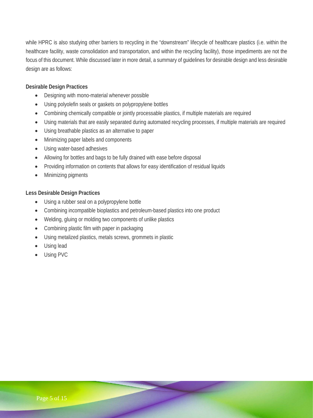while HPRC is also studying other barriers to recycling in the "downstream" lifecycle of healthcare plastics (i.e. within the healthcare facility, waste consolidation and transportation, and within the recycling facility), those impediments are not the focus of this document. While discussed later in more detail, a summary of guidelines for desirable design and less desirable design are as follows:

## **Desirable Design Practices**

- Designing with mono-material whenever possible
- Using polyolefin seals or gaskets on polypropylene bottles
- Combining chemically compatible or jointly processable plastics, if multiple materials are required
- Using materials that are easily separated during automated recycling processes, if multiple materials are required
- Using breathable plastics as an alternative to paper
- Minimizing paper labels and components
- Using water-based adhesives
- Allowing for bottles and bags to be fully drained with ease before disposal
- Providing information on contents that allows for easy identification of residual liquids
- Minimizing pigments

## **Less Desirable Design Practices**

- Using a rubber seal on a polypropylene bottle
- Combining incompatible bioplastics and petroleum-based plastics into one product
- Welding, gluing or molding two components of unlike plastics
- Combining plastic film with paper in packaging
- Using metalized plastics, metals screws, grommets in plastic
- Using lead
- <span id="page-4-0"></span>• Using PVC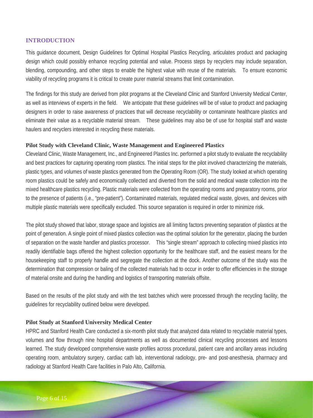## **INTRODUCTION**

This guidance document, Design Guidelines for Optimal Hospital Plastics Recycling, articulates product and packaging design which could possibly enhance recycling potential and value. Process steps by recyclers may include separation, blending, compounding, and other steps to enable the highest value with reuse of the materials. To ensure economic viability of recycling programs it is critical to create purer material streams that limit contamination.

The findings for this study are derived from pilot programs at the Cleveland Clinic and Stanford University Medical Center, as well as interviews of experts in the field. We anticipate that these guidelines will be of value to product and packaging designers in order to raise awareness of practices that will decrease recyclability or contaminate healthcare plastics and eliminate their value as a recyclable material stream. These guidelines may also be of use for hospital staff and waste haulers and recyclers interested in recycling these materials.

# <span id="page-5-0"></span>**Pilot Study with Cleveland Clinic, Waste Management and Engineered Plastics**

Cleveland Clinic, Waste Management, Inc., and Engineered Plastics Inc. performed a pilot study to evaluate the recyclability and best practices for capturing operating room plastics. The initial steps for the pilot involved characterizing the materials, plastic types, and volumes of waste plastics generated from the Operating Room (OR). The study looked at which operating room plastics could be safely and economically collected and diverted from the solid and medical waste collection into the mixed healthcare plastics recycling. Plastic materials were collected from the operating rooms and preparatory rooms, prior to the presence of patients (i.e., "pre-patient"). Contaminated materials, regulated medical waste, gloves, and devices with multiple plastic materials were specifically excluded. This source separation is required in order to minimize risk.

The pilot study showed that labor, storage space and logistics are all limiting factors preventing separation of plastics at the point of generation. A single point of mixed plastics collection was the optimal solution for the generator, placing the burden of separation on the waste handler and plastics processor. This "single stream" approach to collecting mixed plastics into readily identifiable bags offered the highest collection opportunity for the healthcare staff, and the easiest means for the housekeeping staff to properly handle and segregate the collection at the dock. Another outcome of the study was the determination that compression or baling of the collected materials had to occur in order to offer efficiencies in the storage of material onsite and during the handling and logistics of transporting materials offsite.

<span id="page-5-1"></span>Based on the results of the pilot study and with the test batches which were processed through the recycling facility, the guidelines for recyclability outlined below were developed.

## **Pilot Study at Stanford University Medical Center**

HPRC and Stanford Health Care conducted a six-month pilot study that analyzed data related to recyclable material types, volumes and flow through nine hospital departments as well as documented clinical recycling processes and lessons learned. The study developed comprehensive waste profiles across procedural, patient care and ancillary areas including operating room, ambulatory surgery, cardiac cath lab, interventional radiology, pre- and post-anesthesia, pharmacy and radiology at Stanford Health Care facilities in Palo Alto, California.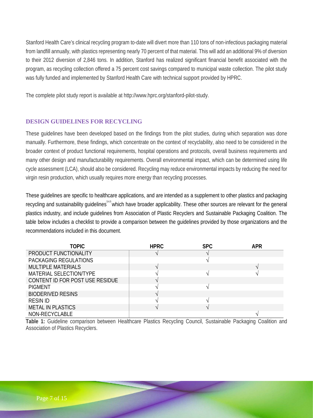Stanford Health Care's clinical recycling program to-date will divert more than 110 tons of non-infectious packaging material from landfill annually, with plastics representing nearly 70 percent of that material. This will add an additional 9% of diversion to their 2012 diversion of 2,846 tons. In addition, Stanford has realized significant financial benefit associated with the program, as recycling collection offered a 75 percent cost savings compared to municipal waste collection. The pilot study was fully funded and implemented by Stanford Health Care with technical support provided by HPRC.

The complete pilot study report is available at [http://www.hprc.org/stanford-pilot-study.](http://www.hprc.org/stanford-pilot-study)

# <span id="page-6-0"></span>**DESIGN GUIDELINES FOR RECYCLING**

These guidelines have been developed based on the findings from the pilot studies, during which separation was done manually. Furthermore, these findings, which concentrate on the context of recyclability, also need to be considered in the broader context of product functional requirements, hospital operations and protocols, overall business requirements and many other design and manufacturability requirements. Overall environmental impact, which can be determined using life cycle assessment (LCA), should also be considered. Recycling may reduce environmental impacts by reducing the need for virgin resin production, which usually requires more energy than recycling processes.

These guidelines are specific to healthcare applications, and are intended as a supplement to other plastics and packaging recycling and sustainability guidelines<sup>3,4,5</sup> which have broader applicability. These other sources are relevant for the general plastics industry, and include guidelines from Association of Plastic Recyclers and Sustainable Packaging Coalition. The table below includes a checklist to provide a comparison between the guidelines provided by those organizations and the recommendations included in this document.

| <b>TOPIC</b>                    | <b>HPRC</b> | <b>SPC</b> | <b>APR</b> |
|---------------------------------|-------------|------------|------------|
| PRODUCT FUNCTIONALITY           |             |            |            |
| PACKAGING REGULATIONS           |             |            |            |
| <b>MULTIPLE MATERIALS</b>       |             |            |            |
| MATERIAL SELECTION/TYPE         |             |            |            |
| CONTENT ID FOR POST USE RESIDUE |             |            |            |
| <b>PIGMENT</b>                  |             |            |            |
| <b>BIODERIVED RESINS</b>        |             |            |            |
| <b>RESIN ID</b>                 |             |            |            |
| <b>METAL IN PLASTICS</b>        |             |            |            |
| NON-RECYCLABLE                  |             |            |            |

**Table 1:** Guideline comparison between Healthcare Plastics Recycling Council, Sustainable Packaging Coalition and Association of Plastics Recyclers.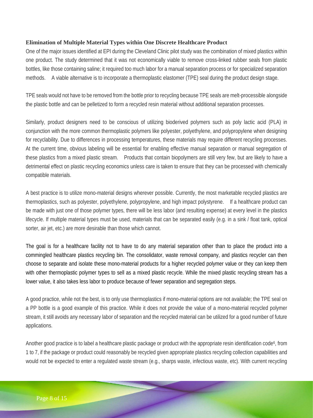## **Elimination of Multiple Material Types within One Discrete Healthcare Product**

One of the major issues identified at EPI during the Cleveland Clinic pilot study was the combination of mixed plastics within one product. The study determined that it was not economically viable to remove cross-linked rubber seals from plastic bottles, like those containing saline; it required too much labor for a manual separation process or for specialized separation methods. A viable alternative is to incorporate a thermoplastic elastomer (TPE) seal during the product design stage.

TPE seals would not have to be removed from the bottle prior to recycling because TPE seals are melt-processible alongside the plastic bottle and can be pelletized to form a recycled resin material without additional separation processes.

Similarly, product designers need to be conscious of utilizing bioderived polymers such as poly lactic acid (PLA) in conjunction with the more common thermoplastic polymers like polyester, polyethylene, and polypropylene when designing for recyclability. Due to differences in processing temperatures, these materials may require different recycling processes. At the current time, obvious labeling will be essential for enabling effective manual separation or manual segregation of these plastics from a mixed plastic stream. Products that contain biopolymers are still very few, but are likely to have a detrimental effect on plastic recycling economics unless care is taken to ensure that they can be processed with chemically compatible materials.

A best practice is to utilize mono-material designs wherever possible. Currently, the most marketable recycled plastics are thermoplastics, such as polyester, polyethylene, polypropylene, and high impact polystyrene. If a healthcare product can be made with just one of those polymer types, there will be less labor (and resulting expense) at every level in the plastics lifecycle. If multiple material types must be used, materials that can be separated easily (e.g. in a sink / float tank, optical sorter, air jet, etc.) are more desirable than those which cannot.

The goal is for a healthcare facility not to have to do any material separation other than to place the product into a commingled healthcare plastics recycling bin. The consolidator, waste removal company, and plastics recycler can then choose to separate and isolate these mono-material products for a higher recycled polymer value or they can keep them with other thermoplastic polymer types to sell as a mixed plastic recycle. While the mixed plastic recycling stream has a lower value, it also takes less labor to produce because of fewer separation and segregation steps.

A good practice, while not the best, is to only use thermoplastics if mono-material options are not available; the TPE seal on a PP bottle is a good example of this practice. While it does not provide the value of a mono-material recycled polymer stream, it still avoids any necessary labor of separation and the recycled material can be utilized for a good number of future applications.

Another good practice is to label a healthcare plastic package or product with the appropriate resin identification code<sup>6</sup>, from 1 to 7, if the package or product could reasonably be recycled given appropriate plastics recycling collection capabilities and would not be expected to enter a regulated waste stream (e.g., sharps waste, infectious waste, etc). With current recycling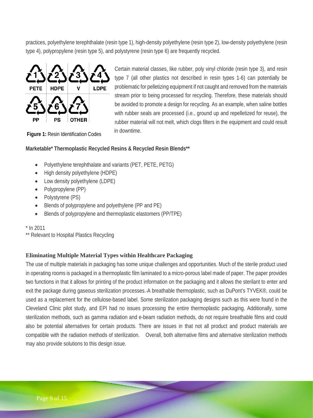practices, polyethylene terephthalate (resin type 1), high-density polyethylene (resin type 2), low-density polyethylene (resin type 4), polypropylene (resin type 5), and polystyrene (resin type 6) are frequently recycled.



Certain material classes, like rubber, poly vinyl chloride (resin type 3), and resin type 7 (all other plastics not described in resin types 1-6) can potentially be problematic for pelletizing equipment if not caught and removed from the materials stream prior to being processed for recycling. Therefore, these materials should be avoided to promote a design for recycling. As an example, when saline bottles with rubber seals are processed (i.e., ground up and repelletized for reuse), the rubber material will not melt, which clogs filters in the equipment and could result in downtime.

**Figure 1:** Resin Identification Codes

# **Marketable\* Thermoplastic Recycled Resins & Recycled Resin Blends\*\***

- Polyethylene terephthalate and variants (PET, PETE, PETG)
- High density polyethylene (HDPE)
- Low density polyethylene (LDPE)
- Polypropylene (PP)
- Polystyrene (PS)
- Blends of polypropylene and polyethylene (PP and PE)
- Blends of polypropylene and thermoplastic elastomers (PP/TPE)

## $*$  In 2011

\*\* Relevant to Hospital Plastics Recycling

# **Eliminating Multiple Material Types within Healthcare Packaging**

The use of multiple materials in packaging has some unique challenges and opportunities. Much of the sterile product used in operating rooms is packaged in a thermoplastic film laminated to a micro-porous label made of paper. The paper provides two functions in that it allows for printing of the product information on the packaging and it allows the sterilant to enter and exit the package during gaseous sterilization processes. A breathable thermoplastic, such as DuPont's TYVEK®, could be used as a replacement for the cellulose-based label. Some sterilization packaging designs such as this were found in the Cleveland Clinic pilot study, and EPI had no issues processing the entire thermoplastic packaging. Additionally, some sterilization methods, such as gamma radiation and e-beam radiation methods, do not require breathable films and could also be potential alternatives for certain products. There are issues in that not all product and product materials are compatible with the radiation methods of sterilization. Overall, both alternative films and alternative sterilization methods may also provide solutions to this design issue.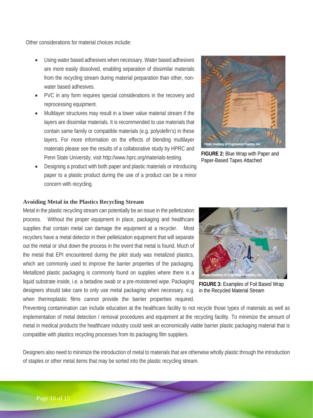Other considerations for material choices include:

- Using water based adhesives when necessary. Water based adhesives are more easily dissolved, enabling separation of dissimilar materials from the recycling stream during material preparation than other, nonwater based adhesives.
- PVC in any form requires special considerations in the recovery and reprocessing equipment.
- Multilayer structures may result in a lower value material stream if the layers are dissimilar materials. It is recommended to use materials that contain same family or compatible materials (e.g. polyolefin's) in these layers. For more information on the effects of blending multilayer materials please see the results of a collaborative study by HPRC and Penn State University, visit [http://www.hprc.org/materials-testing.](http://www.hprc.org/materials-testing)
- Designing a product with both paper and plastic materials or introducing paper to a plastic product during the use of a product can be a minor concern with recycling.



**FIGURE 2:** Blue Wrap with Paper and Paper-Based Tapes Attached

#### **Avoiding Metal in the Plastics Recycling Stream**

Metal in the plastic recycling stream can potentially be an issue in the pelletization process. Without the proper equipment in place, packaging and healthcare supplies that contain metal can damage the equipment at a recycler. Most recyclers have a metal detector in their pelletization equipment that will separate out the metal or shut down the process in the event that metal is found. Much of the metal that EPI encountered during the pilot study was metalized plastics, which are commonly used to improve the barrier properties of the packaging. Metallized plastic packaging is commonly found on supplies where there is a liquid substrate inside, i.e. a betadine swab or a pre-moistened wipe. Packaging designers should take care to only use metal packaging when necessary, e.g. when thermoplastic films cannot provide the barrier properties required.



**FIGURE 3:** Examples of Foil Based Wrap in the Recycled Material Stream

Preventing contamination can include education at the healthcare facility to not recycle those types of materials as well as implementation of metal detection / removal procedures and equipment at the recycling facility. To minimize the amount of metal in medical products the healthcare industry could seek an economically viable barrier plastic packaging material that is compatible with plastics recycling processes from its packaging film suppliers.

Designers also need to minimize the introduction of metal to materials that are otherwise wholly plastic through the introduction of staples or other metal items that may be sorted into the plastic recycling stream.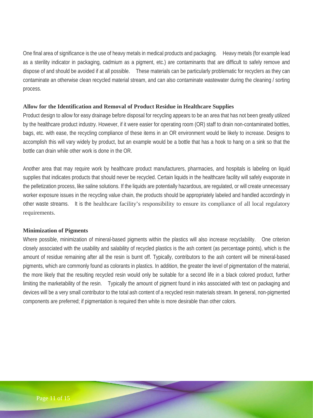One final area of significance is the use of heavy metals in medical products and packaging. Heavy metals (for example lead as a sterility indicator in packaging, cadmium as a pigment, etc.) are contaminants that are difficult to safely remove and dispose of and should be avoided if at all possible. These materials can be particularly problematic for recyclers as they can contaminate an otherwise clean recycled material stream, and can also contaminate wastewater during the cleaning / sorting process.

#### **Allow for the Identification and Removal of Product Residue in Healthcare Supplies**

Product design to allow for easy drainage before disposal for recycling appears to be an area that has not been greatly utilized by the healthcare product industry. However, if it were easier for operating room (OR) staff to drain non-contaminated bottles, bags, etc. with ease, the recycling compliance of these items in an OR environment would be likely to increase. Designs to accomplish this will vary widely by product, but an example would be a bottle that has a hook to hang on a sink so that the bottle can drain while other work is done in the OR.

Another area that may require work by healthcare product manufacturers, pharmacies, and hospitals is labeling on liquid supplies that indicates products that should never be recycled. Certain liquids in the healthcare facility will safely evaporate in the pelletization process, like saline solutions. If the liquids are potentially hazardous, are regulated, or will create unnecessary worker exposure issues in the recycling value chain, the products should be appropriately labeled and handled accordingly in other waste streams. It is the healthcare facility's responsibility to ensure its compliance of all local regulatory requirements.

## **Minimization of Pigments**

Where possible, minimization of mineral-based pigments within the plastics will also increase recyclability. One criterion closely associated with the usability and salability of recycled plastics is the ash content (as percentage points), which is the amount of residue remaining after all the resin is burnt off. Typically, contributors to the ash content will be mineral-based pigments, which are commonly found as colorants in plastics. In addition, the greater the level of pigmentation of the material, the more likely that the resulting recycled resin would only be suitable for a second life in a black colored product, further limiting the marketability of the resin. Typically the amount of pigment found in inks associated with text on packaging and devices will be a very small contributor to the total ash content of a recycled resin materials stream. In general, non-pigmented components are preferred; if pigmentation is required then white is more desirable than other colors.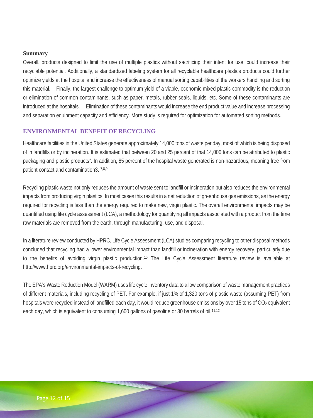#### **Summary**

Overall, products designed to limit the use of multiple plastics without sacrificing their intent for use, could increase their recyclable potential. Additionally, a standardized labeling system for all recyclable healthcare plastics products could further optimize yields at the hospital and increase the effectiveness of manual sorting capabilities of the workers handling and sorting this material. Finally, the largest challenge to optimum yield of a viable, economic mixed plastic commodity is the reduction or elimination of common contaminants, such as paper, metals, rubber seals, liquids, etc. Some of these contaminants are introduced at the hospitals. Elimination of these contaminants would increase the end product value and increase processing and separation equipment capacity and efficiency. More study is required for optimization for automated sorting methods.

## <span id="page-11-0"></span>**ENVIRONMENTAL BENEFIT OF RECYCLING**

Healthcare facilities in the United States generate approximately 14,000 tons of waste per day, most of which is being disposed of in landfills or by incineration. It is estimated that between 20 and 25 percent of that 14,000 tons can be attributed to plastic packaging and plastic products2. In addition, 85 percent of the hospital waste generated is non-hazardous, meaning free from patient contact and contamination3. 7,8,9

Recycling plastic waste not only reduces the amount of waste sent to landfill or incineration but also reduces the environmental impacts from producing virgin plastics. In most cases this results in a net reduction of greenhouse gas emissions, as the energy required for recycling is less than the energy required to make new, virgin plastic. The overall environmental impacts may be quantified using life cycle assessment (LCA), a methodology for quantifying all impacts associated with a product from the time raw materials are removed from the earth, through manufacturing, use, and disposal.

In a literature review conducted by HPRC, Life Cycle Assessment (LCA) studies comparing recycling to other disposal methods concluded that recycling had a lower environmental impact than landfill or incineration with energy recovery, particularly due to the benefits of avoiding virgin plastic production.10 The Life Cycle Assessment literature review is available at [http://www.hprc.org/environmental-impacts-of-recycling.](http://www.hprc.org/environmental-impacts-of-recycling)

The EPA's Waste Reduction Model (WARM) uses life cycle inventory data to allow comparison of waste management practices of different materials, including recycling of PET. For example, if just 1% of 1,320 tons of plastic waste (assuming PET) from hospitals were recycled instead of landfilled each day, it would reduce greenhouse emissions by over 15 tons of  $CO<sub>2</sub>$  equivalent each day, which is equivalent to consuming 1,600 gallons of gasoline or 30 barrels of oil.<sup>11,12</sup>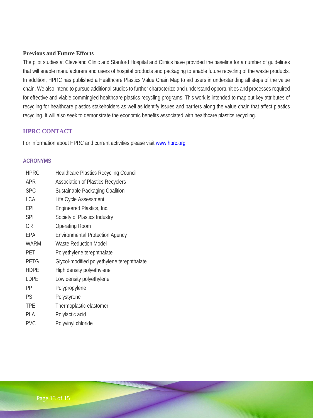#### **Previous and Future Efforts**

The pilot studies at Cleveland Clinic and Stanford Hospital and Clinics have provided the baseline for a number of guidelines that will enable manufacturers and users of hospital products and packaging to enable future recycling of the waste products. In addition, HPRC has published a Healthcare Plastics Value Chain Map to aid users in understanding all steps of the value chain. We also intend to pursue additional studies to further characterize and understand opportunities and processes required for effective and viable commingled healthcare plastics recycling programs. This work is intended to map out key attributes of recycling for healthcare plastics stakeholders as well as identify issues and barriers along the value chain that affect plastics recycling. It will also seek to demonstrate the economic benefits associated with healthcare plastics recycling.

# <span id="page-12-0"></span>**HPRC CONTACT**

For information about HPRC and current activities please visit www.hprc.org.

## <span id="page-12-1"></span>**ACRONYMS**

| <b>HPRC</b> | <b>Healthcare Plastics Recycling Council</b> |
|-------------|----------------------------------------------|
| <b>APR</b>  | <b>Association of Plastics Recyclers</b>     |
| <b>SPC</b>  | Sustainable Packaging Coalition              |
| <b>LCA</b>  | Life Cycle Assessment                        |
| <b>EPI</b>  | Engineered Plastics, Inc.                    |
| <b>SPI</b>  | Society of Plastics Industry                 |
| <b>OR</b>   | <b>Operating Room</b>                        |
| EPA         | <b>Environmental Protection Agency</b>       |
| <b>WARM</b> | <b>Waste Reduction Model</b>                 |
| PET         | Polyethylene terephthalate                   |
| <b>PETG</b> | Glycol-modified polyethylene terephthalate   |
| <b>HDPE</b> | High density polyethylene                    |
| <b>LDPE</b> | Low density polyethylene                     |
| PP          | Polypropylene                                |
| PS          | Polystyrene                                  |
| <b>TPE</b>  | Thermoplastic elastomer                      |
| PLA         | Polylactic acid                              |
| <b>PVC</b>  | Polyvinyl chloride                           |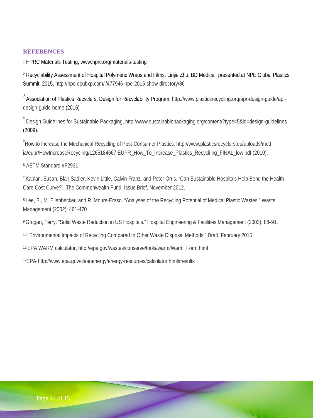# <span id="page-13-0"></span>**REFERENCES**

<sup>1</sup> HPRC Materials Testing, www.hprc.org/materials-testing

<sup>2</sup> Recyclability Assessment of Hospital Polymeric Wraps and Films, Linjie Zhu, BD Medical, presented at NPE Global Plastics Summit, 2015, http://npe.epubxp.com/i/477946-npe-2015-show-directory/86

<sup>3</sup> Association of Plastics Recyclers, Design for Recyclability Program, http://www.plasticsrecycling.org/apr-design-guide/aprdesign-guide-home (2016)

4 Design Guidelines for Sustainable Packaging, http://www.sustainablepackaging.org/content/?type=5&id=design-guidelines (2009).

5 How to Increase the Mechanical Recycling of Post-Consumer Plastics, http://www.plasticsrecyclers.eu/uploads/med ia/eupr/HowIncreaseRecycling/1265184667 EUPR\_How\_To\_Increase\_Plastics\_Recycli ng\_FINAL\_low.pdf (2010).

<sup>6</sup> ASTM Standard #F2931

<sup>7</sup> Kaplan, Susan, Blair Sadler, Kevin Little, Calvin Franz, and Peter Orris. "Can Sustainable Hospitals Help Bend the Health Care Cost Curve?", The Commonwealth Fund, Issue Brief, November 2012.

<sup>8</sup> Lee, B., M. Ellenbecker, and R. Moure-Eraso. "Analyses of the Recycling Potential of Medical Plastic Wastes." Waste Management (2002): 461-470

9Grogan, Terry. "Solid Waste Reduction in US Hospitals." Hospital Engineering & Facilities Management (2003): 88‐91.

<sup>10</sup> "Environmental Impacts of Recycling Compared to Other Waste Disposal Methods," Draft, February 2015

<sup>11</sup> EPA WARM calculator, http://epa.gov/wastes/conserve/tools/warm/Warm\_Form.html

12EPA, http://www.epa.gov/cleanenergy/energy-resources/calculator.html#results